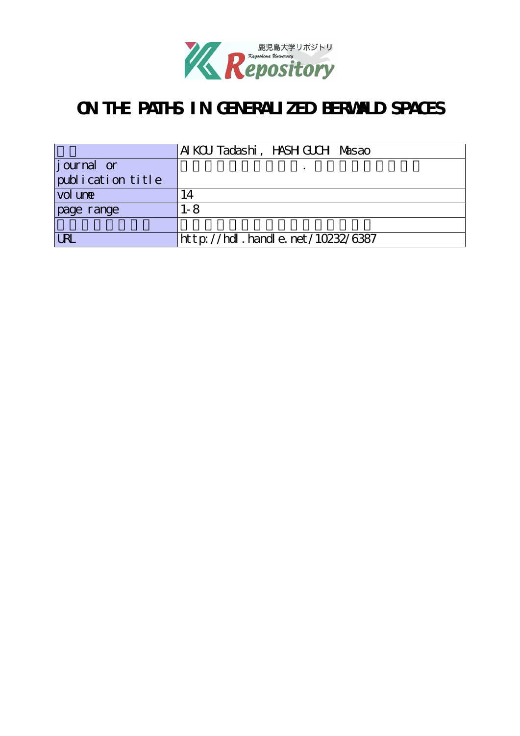

# **ON THE PATHS IN GENERALIZED BERWALD SPACES**

|                    | AI KCU Tadashi, HASH GUCH Masao  |
|--------------------|----------------------------------|
| <i>j</i> ournal or |                                  |
| publication title  |                                  |
| vol une            | $\overline{A}$                   |
| page range         | 1-8                              |
|                    |                                  |
| <b>LRL</b>         | http://hdl.handle.net/10232/6387 |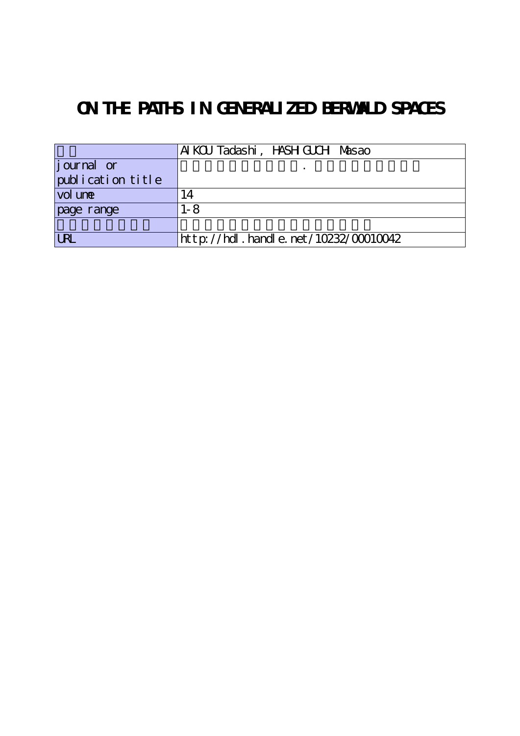# **ON THE PATHS IN GENERALIZED BERWALD SPACES**

|                   | AI KCU Tadashi, HASH GUCH Masao           |
|-------------------|-------------------------------------------|
| journal or        |                                           |
| publication title |                                           |
| vol une           | 14                                        |
| page range        | $1 - 8$                                   |
|                   |                                           |
| <b>URL</b>        | $http$ ://hdl. handle. net/10232/00010042 |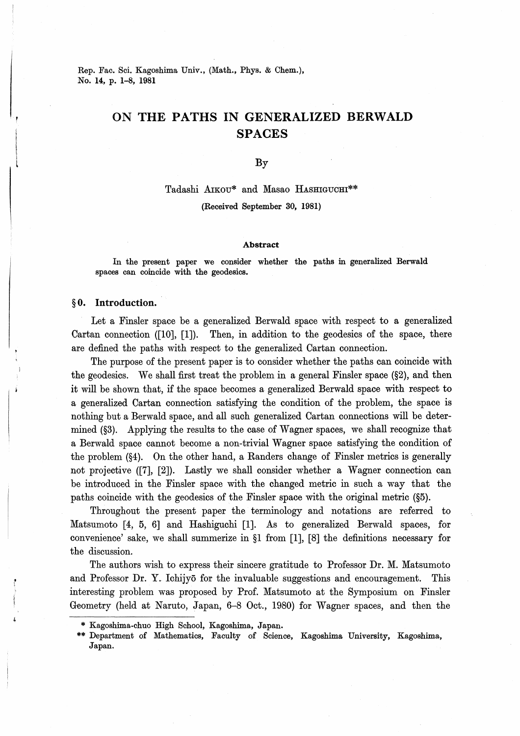Rep. Fac. Sci. Kagoshima Univ., (Math., Phys. & Chem.), No. 14, p. 1-8, 1981

# ON THE PATHS IN GENERALIZED BERWALD **SPACES**

By

#### Tadashi AIKOU\* and Masao HASHIGUCHI\*\*

(Received September 30, 1981)

#### Abstract

In the present paper we consider whether the paths in generalized Berwald spaces can coincide with the geodesics.

### §0. Introduction.

Let a Finsler space be a generalized Berwald space with respect to a generalized Cartan connection  $([10], [1])$ . Then, in addition to the geodesics of the space, there are defined the paths with respect to the generalized Cartan connection.

The purpose of the present paper is to consider whether the paths can coincide with the geodesics. We shall first treat the problem in a general Finsler space  $(\S2)$ , and then it will be shown that, if the space becomes a generalized Berwald space with respect to a generalized Cartan connection satisfying the condition of the problem, the space is nothing but a Berwald space, and all such generalized Cartan connections will be determined (§3). Applying the results to the case of Wagner spaces, we shall recognize that a Berwald space cannot become a non-trivial Wagner space satisfying the condition of the problem (§4). On the other hand, a Randers change of Finsler metrics is generally not projective ([7], [2]). Lastly we shall consider whether a Wagner connection can be introduced in the Finsler space with the changed metric in such a way that the paths coincide with the geodesics of the Finsler space with the original metric (§5).

Throughout the present paper the terminology and notations are referred to Matsumoto [4, 5, 6] and Hashiguchi [1]. As to generalized Berwald spaces, for convenience' sake, we shall summerize in §1 from [1], [8] the definitions necessary for the discussion.

The authors wish to express their sincere gratitude to Professor Dr. M. Matsumoto and Professor Dr. Y. Ichijyō for the invaluable suggestions and encouragement. This interesting problem was proposed by Prof. Matsumoto at the Symposium on Finsler Geometry (held at Naruto, Japan, 6-8 Oct., 1980) for Wagner spaces, and then the

<sup>\*</sup> Kagoshima-chuo High School, Kagoshima, Japan.

<sup>\*\*</sup> Department of Mathematics, Faculty of Science, Kagoshima University, Kagoshima, Japan.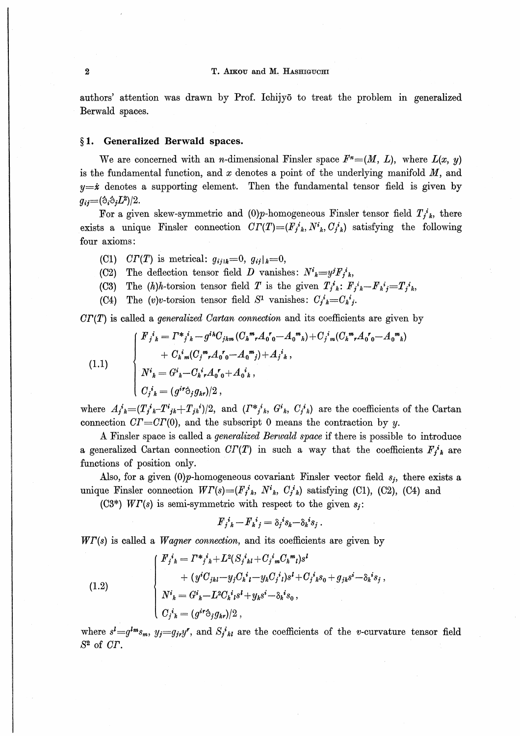authors'attention was drawn by Prof. Ichijyo to treat the problem in generalized Berwald spaces.

# §1. Generalized Berwald spaces.

We are concerned with an *n*-dimensional Finsler space  $F^*=(M, L)$ , where  $L(x, y)$ is the fundamental function, and x denotes a point of the underlying manifold  $M$ , and  $y=x$  denotes a supporting element. Then the fundamental tensor field is given by  $g_{ij} = (\dot{\circ}_i \dot{\circ}_j L^2)/2.$ 

For a given skew-symmetric and (0) $p$ -homogeneous Finsler tensor field  $T_j^i$ , there exists a unique Finsler connection  $CT(T)=(F_j^i{}_k, N^i{}_k, C_j^i{}_k)$  satisfying the following four axioms :

- (C1)  $CT(T)$  is metrical:  $g_{ij|k}=0$ ,  $g_{ij|k}=0$ ,
- (C2) The deflection tensor field D vanishes:  $N^i{}_k=y^jF^i{}_k$ ,
- (C3) The  $(h)h$ -torsion tensor field T is the given  $T_j^i{}_k$ :  $F_j^i{}_k-F_k^i{}_j=T_j^i{}_k$ ,
- (C4) The (v)v-torsion tensor field  $S^1$  vanishes:  $C_j^i{}_k = C_k^i{}_j$ .

 $CT(T)$  is called a *generalized Cartan connection* and its coefficients are given by

(1.1)  

$$
\begin{cases}\nF_j{}^i{}_k = \Gamma^*{}_j{}^i{}_k - g^{ik}C_{jkm} (C_h{}^m{}_r A_0{}^r{}_0 - A_0{}^m{}_h) + C_j{}^i{}_m (C_k{}^m{}_r A_0{}^r{}_0 - A_0{}^m{}_h) \\
+ C_k{}^i{}_m (C_j{}^m{}_r A_0{}^r{}_0 - A_0{}^m{}_j) + A_j{}^i{}_k \,, \\
N^i{}_k = G^i{}_k - C_k{}^i{}_r A_0{}^r{}_0 + A_0{}^i{}_k \,, \\
C_j{}^i{}_k = (g^{ir} \dot{\phi}_j g_{kr})/2 \,,\n\end{cases}
$$

where  $A_j^i = (T_j^i F_i - T_j^i F_j^i)/2$ , and  $(T^* j^i K, G_i^i K, G_i^i K)$  are the coefficients of the Cartan connection  $CT=CT(0)$ , and the subscript 0 means the contraction by y.

A Finsler space is called a generalized Berwald space if there is possible to introduce a generalized Cartan connection  $CT(T)$  in such a way that the coefficients  $F_j^i{}_k$  are functions of position only.

Also, for a given  $(0)p$ -homogeneous covariant Finsler vector field  $s_i$ , there exists a unique Finsler connection  $WT(s)=(F_j^i{}_k, N^i{}_k, C_j^i{}_k)$  satisfying (C1), (C2), (C4) and

(C3<sup>\*</sup>)  $WT(s)$  is semi-symmetric with respect to the given  $s_i$ :

$$
F_j{}^i{}_k-F_k{}^i{}_j=\delta_j{}^i s_k-\delta_k{}^i s_j.
$$

 $WT(s)$  is called a *Wagner connection*, and its coefficients are given by

(1.2)  
\n
$$
\begin{cases}\nF_j{}^i{}_k = \Gamma^*{}^j{}_k + L^2 (S_j{}^i{}_{kl} + C_j{}^i{}_m C_k{}^m{}_l) s^l \\
+ (y^i C_{jkl} - y_j C_k{}^i{}_l - y_k C_j{}^i{}_l) s^l + C_j{}^i{}_k s_0 + g_{jk} s^i - \delta_k{}^i s_j, \\
N^i{}_k = G^i{}_k - L^2 C_k{}^i{}_l s^l + y_k s^i - \delta_k{}^i s_0, \\
C_j{}^i{}_k = (g^{i\tau} \dot{\sigma}_j g_{k\tau})/2,\n\end{cases}
$$

where  $s' = g^{lm}s_m$ ,  $y_j = g_{ji}y'$ , and  $S_{jkl}$  are the coefficients of the v-curvature tensor field  $S^2$  of  $CT$ .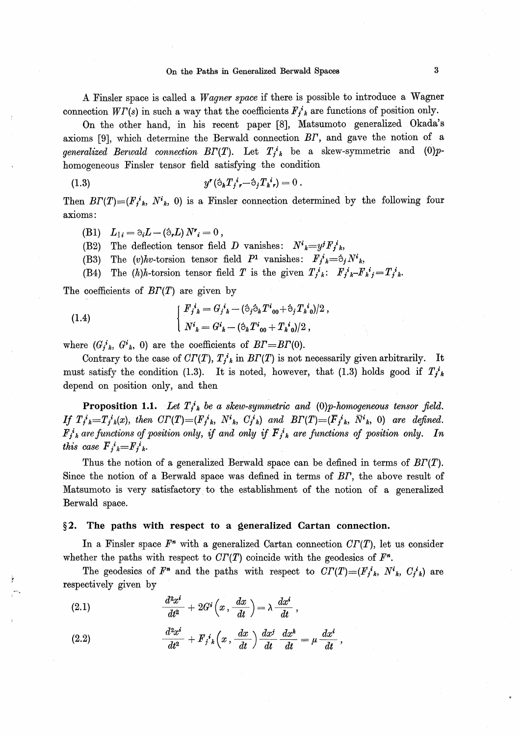# On the Paths in Generalized Berwald Spaces 3

A Finsler space is called a Wagner space if there is possible to introduce a Wagner connection  $W\Gamma(s)$  in such a way that the coefficients  $F_i^i{}_k$  are functions of position only.

On the other hand, in his recent paper [8], Matsumoto generalized Okada's axioms [9], which determine the Berwald connection BF, and gave the notion of a generalized Berwald connection  $B\Gamma(T)$ . Let  $T_i^i{}_k$  be a skew-symmetric and (0)phomogeneous Finsler tensor field satisfying the condition

(1.3) 
$$
y'(\dot{\circ}_k T_j^i, -\dot{\circ}_j T_k^i) = 0.
$$

Then  $BT(T)=(F_j^i)_k, N^i{}_k, 0)$  is a Finsler connection determined by the following four axioms:

- (B1)  $L_{1i} = \partial_i L (\partial_r L) N^r_{i} = 0$ ,
- (B2) The deflection tensor field D vanishes:  $N^i{}_k = y^j F_i^i{}_k$ ,
- (B3) The (v)hv-torsion tensor field  $P^1$  vanishes:  $F_j{}^i{}_k = \partial_j N^i{}_k$ ,
- (B4) The  $(h)h$ -torsion tensor field T is the given  $T_i^i{}_k$ :  $F_i^i{}_k-F_k^i{}_j=T_i^i{}_k$ .

The coefficients of  $BT(T)$  are given by

(1.4) 
$$
\begin{cases} F_j{}^i{}_k = G_j{}^i{}_k - (\dot{\circ}_j \dot{\circ}_k T^i{}_{00} + \dot{\circ}_j T_k{}^i{}_{0})/2 \,, \\ N^i{}_k = G^i{}_k - (\dot{\circ}_k T^i{}_{00} + T_k{}^i{}_{0})/2 \,, \end{cases}
$$

where  $(G_j^i_k, G^i_k, 0)$  are the coefficients of  $BT = BT(0)$ .

Contrary to the case of  $CT(T)$ ,  $T_j^i{}_k$  in  $BT(T)$  is not necessarily given arbitrarily. It must satisfy the condition (1.3). It is noted, however, that (1.3) holds good if  $T_{i,k}^{i}$ depend on position only, and then

**Proposition 1.1.** Let  $T_{i,k}^i$  be a skew-symmetric and (0)p-homogeneous tensor field. If  $T_j^i{}_{k}=T_j^i{}_{k}(x)$ , then  $CT(T)=(F_j^i{}_{k}, N^i{}_{k}, C_j^i{}_{k})$  and  $BT(T)=(F_j^i{}_{k}, \bar{N}^i{}_{k}, 0)$  are defined.  $F_j^i{}_k$  are functions of position only, if and only if  $\overline{F}_j^i{}_k$  are functions of position only. In this case  $\overline{F}_i{}^i{}_k = F_i{}^i{}_k$ .

Thus the notion of a generalized Berwald space can be defined in terms of  $BT(T)$ . Since the notion of a Berwald space was defined in terms of BF, the above result of Matsumoto is very satisfactory to the establishment of the notion of a generalized Berwald space.

#### $§2.$  The paths with respect to a generalized Cartan connection.

In a Finsler space  $F^*$  with a generalized Cartan connection  $CT(T)$ , let us consider whether the paths with respect to  $CT(T)$  coincide with the geodesics of  $F<sup>n</sup>$ .

The geodesics of  $F^*$  and the paths with respect to  $CT(T)=(F_i^i)_k$ ,  $N^i{}_k$ ,  $C_i^i{}_k$ ) are respectively given by

(2.1) 
$$
\frac{d^2x^i}{dt^2} + 2G^i\left(x, \frac{dx}{dt}\right) = \lambda \frac{dx^i}{dt},
$$

(2.2) 
$$
\frac{d^2x^i}{dt^2} + F_j{}^i{}_k\left(x, \frac{dx}{dt}\right)\frac{dx^j}{dt} \frac{dx^k}{dt} = \mu \frac{dx^i}{dt},
$$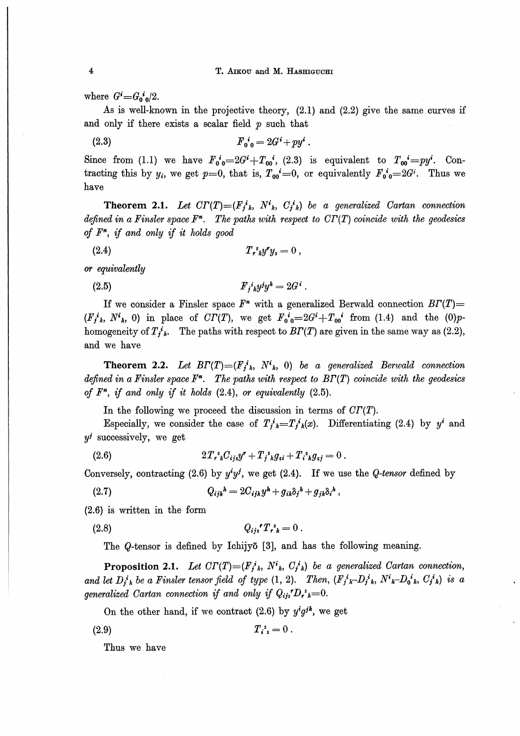where  $G^i = G_0^i O^2$ .

As is well-known in the projective theory,  $(2.1)$  and  $(2.2)$  give the same curves if and only if there exists a scalar field  $p$  such that

 $F_{0,0}^i = 2G^i + py^i$ .  $(2.3)$ 

Since from (1.1) we have  $F_0{}^i{}_{0} = 2G^i + T_{00}{}^i$ , (2.3) is equivalent to  $T_{00}{}^i = py^i$ . Contracting this by  $y_i$ , we get  $p=0$ , that is,  $T_{00}^i=0$ , or equivalently  $F_{00}^i=2G^i$ . Thus we have

**Theorem 2.1.** Let  $CT(T)=(F_j^i{}_k, N^i{}_k, C_j^i{}_k)$  be a generalized Cartan connection defined in a Finsler space  $F^*$ . The paths with respect to  $CT(T)$  coincide with the geodesics of  $F<sup>n</sup>$ , if and only if it holds good

$$
(2.4) \t\t T_r^s y^r y_s = 0,
$$

or equivalently

 $F_i^i_k y^j y^k = 2G^i$ .  $(2.5)$ 

If we consider a Finsler space  $F^*$  with a generalized Berwald connection  $BT(T)$  $(F_j^i{}_k, N^i{}_k, 0)$  in place of  $CT(T)$ , we get  $F_0^i{}_0 = 2G^i + T_{00}^i$  from (1.4) and the (0)phomogeneity of  $T_{j,k}^*$ . The paths with respect to  $BT(T)$  are given in the same way as (2.2), and we have

**Theorem 2.2.** Let  $BT(T)=(F_i^i)_k$ ,  $N^i{}_k$ , 0) be a generalized Berwald connection defined in a Finsler space  $F^*$ . The paths with respect to  $BT(T)$  coincide with the geodesics of  $F^*$ , if and only if it holds (2.4), or equivalently (2.5).

In the following we proceed the discussion in terms of  $CT(T)$ .

Especially, we consider the case of  $T_j^i{}_{k}=T_j^i{}_{k}(x)$ . Differentiating (2.4) by  $y^i$  and  $y^j$  successively, we get

(2.6) 
$$
2T_r^s{}_{k}C_{ijs}y^r + T_j^s{}_{k}g_{si} + T_i^s{}_{k}g_{sj} = 0.
$$

Conversely, contracting (2.6) by  $y^i y^j$ , we get (2.4). If we use the *Q-tensor* defined by

 $Q_{ijk}{}^h = 2C_{ijk}y^h + g_{ik}\delta_i{}^h + g_{ik}\delta_i{}^h,$  $(2.7)$ 

 $(2.6)$  is written in the form

 $Q_{ii}{}^{\bullet}T_{\bullet}{}^{i}{}_{b}=0$ .  $(2.8)$ 

The *Q*-tensor is defined by Ichijyō [3], and has the following meaning.

**Proposition 2.1.** Let  $CT(T)=(F_i^i{}_k, N^i{}_k, C_i^i{}_k)$  be a generalized Cartan connection, and let  $D_i^i{}_k$  be a Finsler tensor field of type (1, 2). Then,  $(F_j^i{}_k-D_j^i{}_k, N^i{}_k-D_0^i{}_k, C_j^i{}_k)$  is a generalized Cartan connection if and only if  $Q_{ij}P_{k}=0$ .

On the other hand, if we contract (2.6) by  $y^i g^{jk}$ , we get

$$
T_{i\ s} = 0 \ .
$$

Thus we have

 $(2.9)$ 

 $\overline{\mathbf{4}}$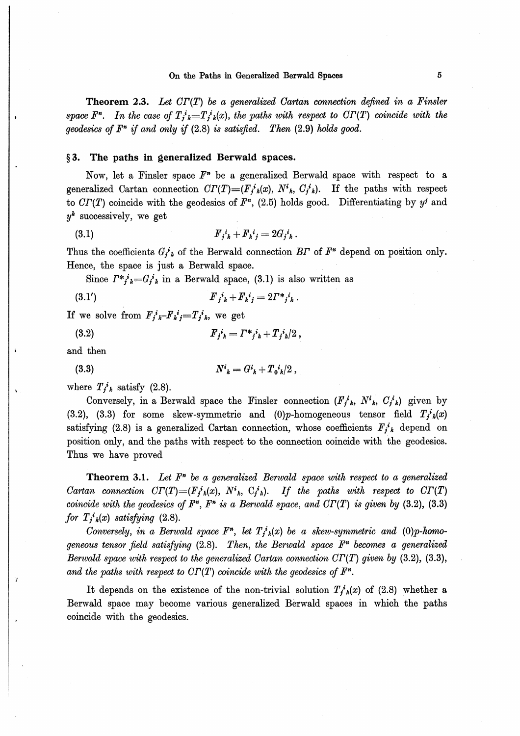**Theorem 2.3.** Let  $CT(T)$  be a generalized Cartan connection defined in a Finsler space  $F^n$ . In the case of  $T_i^i{}_{k}=T_i^i{}_{k}(x)$ , the paths with respect to  $CT(T)$  coincide with the geodesics of  $F^n$  if and only if  $(2.8)$  is satisfied. Then  $(2.9)$  holds good.

# §3. The paths in generalized Berwald spaces.

Now, let a Finsler space  $F^*$  be a generalized Berwald space with respect to a generalized Cartan connection  $CT(T)=(F_i^i)_k(x), N^i{}_k, C_i^i{}_k)$ . If the paths with respect to  $CT(T)$  coincide with the geodesics of  $F^*$ , (2.5) holds good. Differentiating by  $y^j$  and  $y^k$  successively, we get

(3.1) 
$$
F_j{}^i{}_k + F_k{}^i{}_j = 2G_j{}^i{}_k.
$$

Thus the coefficients  $G_j^i_k$  of the Berwald connection BT of  $F^*$  depend on position only. Hence, the space is just a Berwald space.

Since  $\Gamma^* j_k = G_j i_k$  in a Berwald space, (3.1) is also written as

(3.1') 
$$
F_j{}^i{}_k + F_k{}^i{}_j = 2\Gamma^*{}^j{}_i{}_k.
$$

If we solve from  $F_j{}^i{}_k-F_k{}^i{}_j=T_j{}^i{}_k$ , we get

 $(3.2)$  $F_j{}^i{}_k = \Gamma *_{j}{}^i{}_k + T_{j}{}^i{}_k / 2$ ,

and then

(3.3) 
$$
N^i{}_k = G^i{}_k + T_0^i{}_k/2\,,
$$

where  $T_{i,k}^{i}$  satisfy (2.8).

Conversely, in a Berwald space the Finsler connection  $(F_i^i{}_k, N^i{}_k, C_i^i{}_k)$  given by (3.2), (3.3) for some skew-symmetric and (0)*p*-homogeneous tensor field  $T_j^i{}_k(x)$ satisfying (2.8) is a generalized Cartan connection, whose coefficients  $F_i^i$  depend on position only, and the paths with respect to the connection coincide with the geodesies. Thus we have proved

**Theorem 3.1.** Let  $F<sup>n</sup>$  be a generalized Berwald space with respect to a generalized Cartan connection  $CT(T)=(F_j^i)_k(x)$ ,  $N^i{}_k$ ,  $C_j^i{}_k$ ). If the paths with respect to  $CT(T)$ coincide with the geodesics of  $F<sup>n</sup>$ ,  $F<sup>n</sup>$  is a Berwald space, and  $CT(T)$  is given by (3.2), (3.3) for  $T_j^i{}_k(x)$  satisfying (2.8).

Conversely, in a Berwald space  $F^n$ , let  $T_i^i_k(x)$  be a skew-symmetric and (0)p-homogeneous tensor field satisfying  $(2.8)$ . Then, the Berwald space  $F<sup>n</sup>$  becomes a generalized Berwald space with respect to the generalized Cartan connection  $\mathbb{C}\Gamma(\mathbb{T})$  given by (3.2), (3.3), and the paths with respect to  $CT(T)$  coincide with the geodesics of  $F<sup>n</sup>$ .

It depends on the existence of the non-trivial solution  $T_i^*_{k}(x)$  of (2.8) whether a Berwald space may become various generalized Berwald spaces in which the coincide with the geodesies.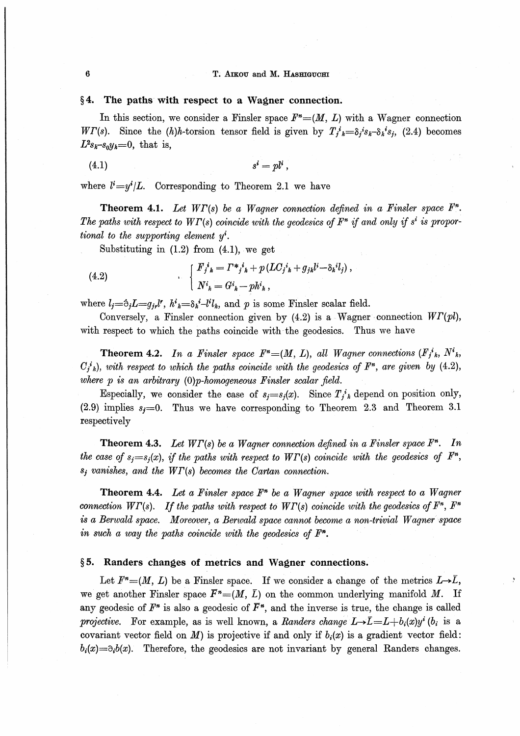#### T. AIKOU and M. HASHIGUCHI

# $§4.$  The paths with respect to a Wagner connection.

In this section, we consider a Finsler space  $F^*=(M, L)$  with a Wagner connection WT(s). Since the  $(h)h$ -torsion tensor field is given by  $T_i^k = \delta_i^s k_i - \delta_k^s$ , (2.4) becomes  $L^2 s_k - s_0 y_k = 0$ , that is,

$$
(4.1) \t si = pli,
$$

where  $l^i=y^i/L$ . Corresponding to Theorem 2.1 we have

**Theorem 4.1.** Let  $W\Gamma(s)$  be a Wagner connection defined in a Finsler space  $F<sup>n</sup>$ . The paths with respect to  $WT(s)$  coincide with the geodesics of  $F^*$  if and only if s<sup>i</sup> is proportional to the supporting element  $y^i$ .

Substituting in (1.2) from (4.1), we get

(4.2) 
$$
\begin{cases} F_j{}^i{}_k = \Gamma {}^*j^i{}_k + p (LC_j{}^i{}_k + g_{jk}l^i - \delta{}_k{}^i l_j) , \\ N^i{}_k = G^i{}_k - p h^i{}_k , \end{cases}
$$

where  $l_i=\delta_i L=q_{i\ell}l^{\prime}$ ,  $h^i{}_k=\delta_k{}^i-l^i l_k$ , and p is some Finsler scalar field.

Conversely, a Finsler connection given by  $(4.2)$  is a Wagner connection  $WT(pl)$ , with respect to which the paths coincide with the geodesics. Thus we have

**Theorem 4.2.** In a Finsler space  $F^*=(M, L)$ , all Wagner connections  $(F_j^i)_k$ ,  $N^i{}_k$ ,  $C_{i,k}^{i}$ ), with respect to which the paths coincide with the geodesics of  $F^{n}$ , are given by (4.2), where  $p$  is an arbitrary  $(0)p$ -homogeneous Finsler scalar field.

Especially, we consider the case of  $s_j = s_j(x)$ . Since  $T_i^i$  depend on position only, (2.9) implies  $s_j=0$ . Thus we have corresponding to Theorem 2.3 and Theorem 3.1 respectively

**Theorem 4.3.** Let  $WT(s)$  be a Wagner connection defined in a Finsler space  $F<sup>n</sup>$ . In the case of  $s_i = s_i(x)$ , if the paths with respect to  $WT(s)$  coincide with the geodesics of  $F^*$ ,  $s_j$  vanishes, and the  $WT(s)$  becomes the Cartan connection.

**Theorem 4.4.** Let a Finsler space  $F<sup>n</sup>$  be a Wagner space with respect to a Wagner connection  $WT(s)$ . If the paths with respect to  $WT(s)$  coincide with the geodesics of  $F<sup>n</sup>$ ,  $F<sup>n</sup>$ is a Berwald space. Moreover, a Berwald space cannot become a non-trivial Wagner space in such a way the paths coincide with the geodesics of  $F<sup>n</sup>$ .

#### §5. Randers changes of metrics and Wagner connections.

Let  $F^*=(M, L)$  be a Finsler space. If we consider a change of the metrics  $L\rightarrow \bar{L}$ , we get another Finsler space  $\bar{F}^*=(M, \bar{L})$  on the common underlying manifold M. If any geodesic of  $F^*$  is also a geodesic of  $\overline{F}^*$ , and the inverse is true, the change is called projective. For example, as is well known, a Randers change  $L\rightarrow\bar{L}=L+b_i(x)y^i$  (b<sub>i</sub> is a covariant vector field on M) is projective if and only if  $b_i(x)$  is a gradient vector field:  $b_i(x) = \partial_i b(x)$ . Therefore, the geodesics are not invariant by general Randers changes.

 $\bf{6}$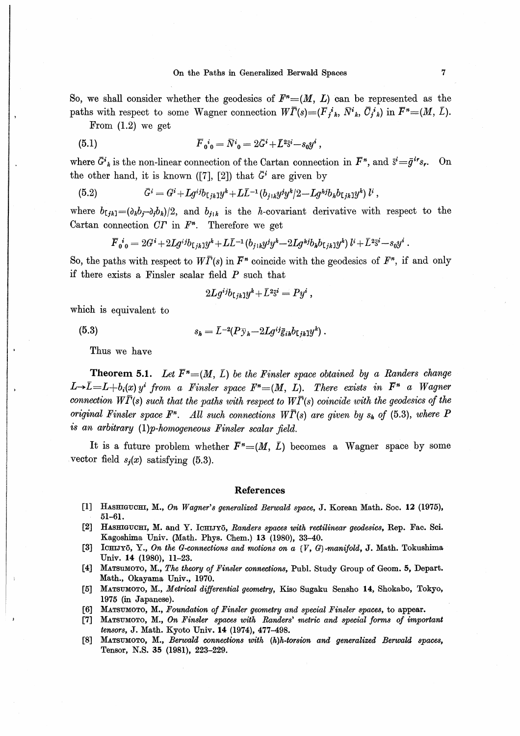So, we shall consider whether the geodesics of  $F^*=(M, L)$  can be represented as the paths with respect to some Wagner connection  $W\overline{\Gamma}(s) = (\overline{F}_i{}^i{}_k, \overline{N}{}^i{}_k, \overline{C}_i{}^i{}_k)$  in  $\overline{F}{}^n = (M, \overline{L}).$ 

From  $(1.2)$  we get

(5.1) 
$$
\overline{F}_{0}{}^{i}{}_{0} = \overline{N}{}^{i}{}_{0} = 2\overline{G}{}^{i} + \overline{L}{}^{2}\overline{s}{}^{i} - s_{0}y^{i} ,
$$

where  $\bar{G}^i_{k}$  is the non-linear connection of the Cartan connection in  $\bar{F}^n$ , and  $\bar{s}^i = \bar{g}^{ir} s_r$ . On the other hand, it is known ([7], [2]) that  $\bar{G}^i$  are given by

(5.2) 
$$
\bar{G}^i = G^i + Lg^{ij}b_{ijk}y^k + L\bar{L}^{-1}(b_{j1k}y^jy^k/2 - Lg^{kj}b_kb_{ijk}y^j) l^i,
$$

where  $b_{[jk]} = (\partial_k b_j - \partial_j b_k)/2$ , and  $b_{j+k}$  is the *h*-covariant derivative with respect to the Cartan connection  $CT$  in  $F<sup>n</sup>$ . Therefore we get

$$
\overline{F}_{0\ 0}^{\ i} = 2G^{i} + 2Lg^{ij}b_{[jk]}y^{k} + L\overline{L}^{-1}(b_{j\ 1k}y^{j}y^{k} - 2Lg^{kj}b_{k}b_{[jk]}y^{k})\,l^{i} + \overline{L}^{2}\overline{s}^{i} - s_{0}y^{i}.
$$

So, the paths with respect to  $W\overline{\Gamma}(s)$  in  $\overline{F}^n$  coincide with the geodesics of  $F^n$ , if and only if there exists a Finsler scalar field  $P$  such that

$$
2Lg^{ij}b_{\mathsf{L} \, jk} 1 y^k \!+\! \bar{L}^2\bar{\mathsf{s}}^i = Py^i \ ,
$$

which is equivalent to

 $(5.3)$ 

$$
s_{\pmb h}=\bar L^{-2}(P\bar{\textnormal{y}}_{\pmb h} \!-\! 2Lg^{ij}\bar{\textnormal{g}}_{\textnormal{\textit{ih}}}b_{\textnormal{\textsf{L}}\textnormal{jk}}\textnormal{1}y^{\pmb h})\ .
$$

Thus we have

**Theorem 5.1.** Let  $\overline{F}^n = (M, \overline{L})$  be the Finsler space obtained by a Randers change  $L\rightarrow \bar{L}=L+b_i(x)$  y<sup>i</sup> from a Finsler space  $F^*=(M, L)$ . There exists in  $\bar{F}^n$  a Wagner connection  $W\bar{\Gamma}(s)$  such that the paths with respect to  $W\bar{\Gamma}(s)$  coincide with the geodesics of the original Finsler space  $F^n$ . All such connections  $W\overline{\Gamma}(s)$  are given by  $s_k$  of (5.3), where P is an arbitrary (1)p-homogeneous Finsler scalar field.

It is a future problem whether  $\bar{F}^*=(M, \bar{L})$  becomes a Wagner space by some vector field  $s_i(x)$  satisfying (5.3).

#### **References**

- [1] HASHIGUCHI, M., On Wagner's generalized Berwald space, J. Korean Math. Soc. 12 (1975),  $51 - 61.$
- [2] HASHIGUCHI, M. and Y. ICHIJYō, Randers spaces with rectilinear geodesics, Rep. Fac. Sci. Kagoshima Univ. (Math. Phys. Chem.) 13 (1980), 33-40.
- [3] ICHIJYō, Y., On the G-connections and motions on a  $\{V, G\}$ -manifold, J. Math. Tokushima Univ. 14 (1980), 11-23.
- [4] MATSUMOTO, M., The theory of Finsler connections, Publ. Study Group of Geom. 5, Depart. Math., Okayama Univ., 1970.
- [5] MATSUMOTO, M., Metrical differential geometry, Kiso Sugaku Sensho 14, Shokabo, Tokyo, 1975 (in Japanese).
- MATSUMOTO, M., Foundation of Finsler geometry and special Finsler spaces, to appear. **F61**
- [7] MATSUMOTO, M., On Finsler spaces with Randers' metric and special forms of important tensors, J. Math. Kyoto Univ. 14 (1974), 477-498.
- $\lceil 8 \rceil$ MATSUMOTO, M., Berwald connections with (h)h-torsion and generalized Berwald spaces, Tensor, N.S. 35 (1981), 223-229.